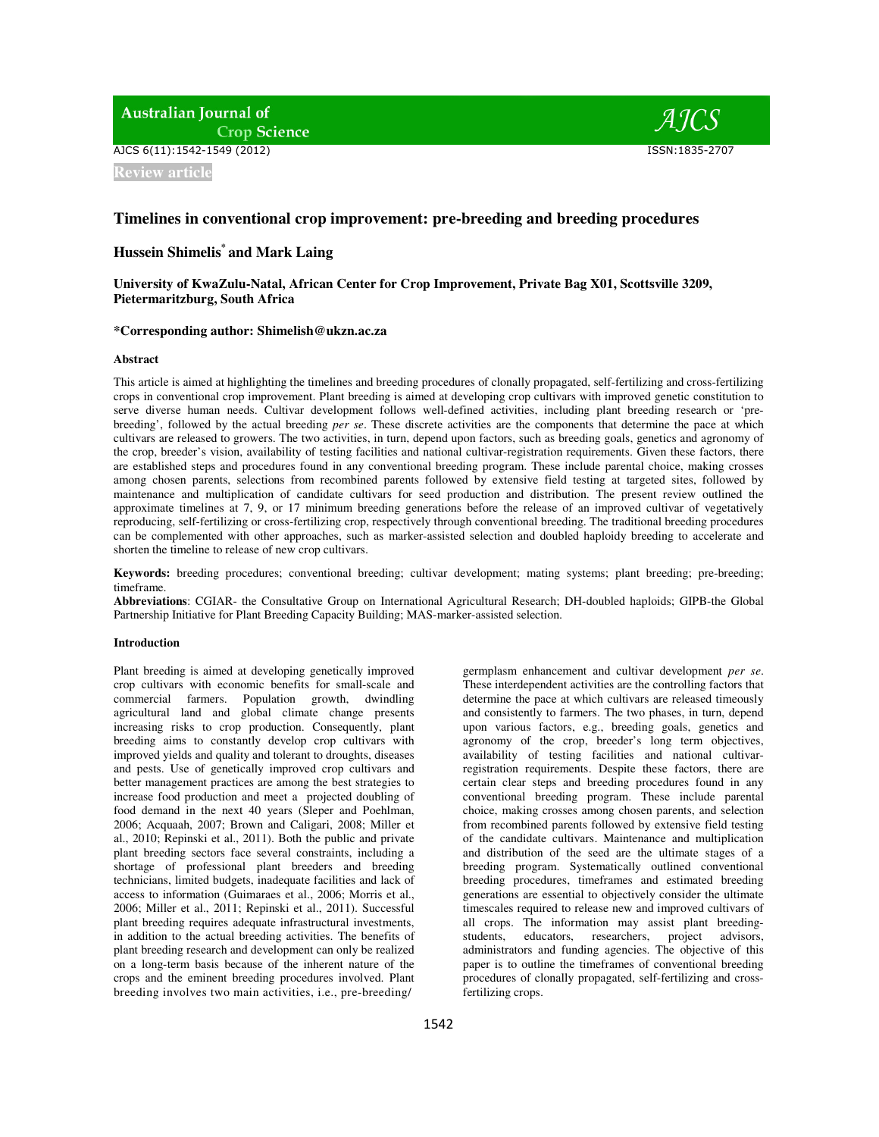**Australian Journal of Crop Science** 

AJCS 6(11):1542-1549 (2012) ISSN:1835-2707

**Review article**

# **Timelines in conventional crop improvement: pre-breeding and breeding procedures**

# **Hussein Shimelis\* and Mark Laing**

# **University of KwaZulu-Natal, African Center for Crop Improvement, Private Bag X01, Scottsville 3209, Pietermaritzburg, South Africa**

## **\*Corresponding author: Shimelish@ukzn.ac.za**

#### **Abstract**

This article is aimed at highlighting the timelines and breeding procedures of clonally propagated, self-fertilizing and cross-fertilizing crops in conventional crop improvement. Plant breeding is aimed at developing crop cultivars with improved genetic constitution to serve diverse human needs. Cultivar development follows well-defined activities, including plant breeding research or 'prebreeding', followed by the actual breeding *per se*. These discrete activities are the components that determine the pace at which cultivars are released to growers. The two activities, in turn, depend upon factors, such as breeding goals, genetics and agronomy of the crop, breeder's vision, availability of testing facilities and national cultivar-registration requirements. Given these factors, there are established steps and procedures found in any conventional breeding program. These include parental choice, making crosses among chosen parents, selections from recombined parents followed by extensive field testing at targeted sites, followed by maintenance and multiplication of candidate cultivars for seed production and distribution. The present review outlined the approximate timelines at 7, 9, or 17 minimum breeding generations before the release of an improved cultivar of vegetatively reproducing, self-fertilizing or cross-fertilizing crop, respectively through conventional breeding. The traditional breeding procedures can be complemented with other approaches, such as marker-assisted selection and doubled haploidy breeding to accelerate and shorten the timeline to release of new crop cultivars.

**Keywords:** breeding procedures; conventional breeding; cultivar development; mating systems; plant breeding; pre-breeding; timeframe.

**Abbreviations**: CGIAR- the Consultative Group on International Agricultural Research; DH-doubled haploids; GIPB-the Global Partnership Initiative for Plant Breeding Capacity Building; MAS-marker-assisted selection.

#### **Introduction**

Plant breeding is aimed at developing genetically improved crop cultivars with economic benefits for small-scale and commercial farmers. Population growth, dwindling agricultural land and global climate change presents increasing risks to crop production. Consequently, plant breeding aims to constantly develop crop cultivars with improved yields and quality and tolerant to droughts, diseases and pests. Use of genetically improved crop cultivars and better management practices are among the best strategies to increase food production and meet a projected doubling of food demand in the next 40 years (Sleper and Poehlman, 2006; Acquaah, 2007; Brown and Caligari, 2008; Miller et al., 2010; Repinski et al., 2011). Both the public and private plant breeding sectors face several constraints, including a shortage of professional plant breeders and breeding technicians, limited budgets, inadequate facilities and lack of access to information (Guimaraes et al., 2006; Morris et al., 2006; Miller et al., 2011; Repinski et al., 2011). Successful plant breeding requires adequate infrastructural investments, in addition to the actual breeding activities. The benefits of plant breeding research and development can only be realized on a long-term basis because of the inherent nature of the crops and the eminent breeding procedures involved. Plant breeding involves two main activities, i.e., pre-breeding/

germplasm enhancement and cultivar development *per se*. These interdependent activities are the controlling factors that determine the pace at which cultivars are released timeously and consistently to farmers. The two phases, in turn, depend upon various factors, e.g., breeding goals, genetics and agronomy of the crop, breeder's long term objectives, availability of testing facilities and national cultivarregistration requirements. Despite these factors, there are certain clear steps and breeding procedures found in any conventional breeding program. These include parental choice, making crosses among chosen parents, and selection from recombined parents followed by extensive field testing of the candidate cultivars. Maintenance and multiplication and distribution of the seed are the ultimate stages of a breeding program. Systematically outlined conventional breeding procedures, timeframes and estimated breeding generations are essential to objectively consider the ultimate timescales required to release new and improved cultivars of all crops. The information may assist plant breedingstudents, educators, researchers, project advisors, administrators and funding agencies. The objective of this paper is to outline the timeframes of conventional breeding procedures of clonally propagated, self-fertilizing and crossfertilizing crops.

AICS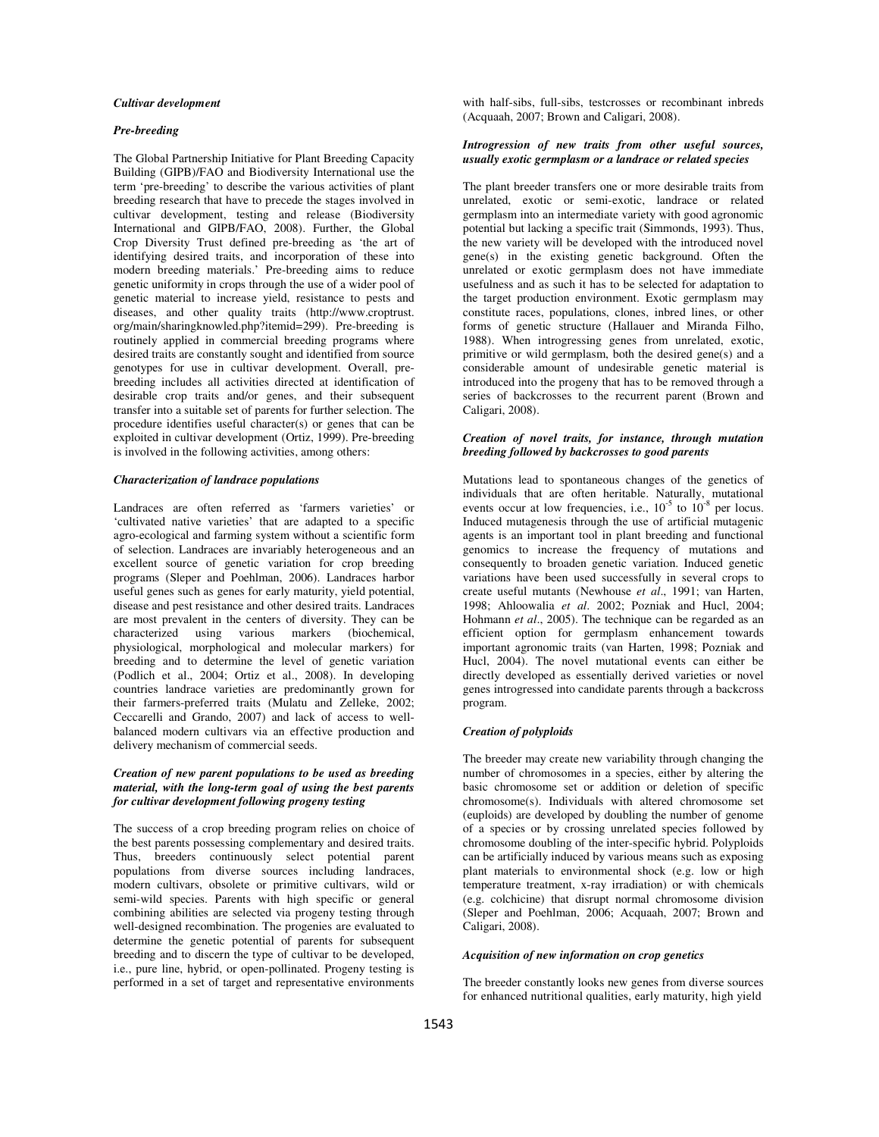### *Cultivar development*

#### *Pre-breeding*

The Global Partnership Initiative for Plant Breeding Capacity Building (GIPB)/FAO and Biodiversity International use the term 'pre-breeding' to describe the various activities of plant breeding research that have to precede the stages involved in cultivar development, testing and release (Biodiversity International and GIPB/FAO, 2008). Further, the Global Crop Diversity Trust defined pre-breeding as 'the art of identifying desired traits, and incorporation of these into modern breeding materials.' Pre-breeding aims to reduce genetic uniformity in crops through the use of a wider pool of genetic material to increase yield, resistance to pests and diseases, and other quality traits (http://www.croptrust. org/main/sharingknowled.php?itemid=299). Pre-breeding is routinely applied in commercial breeding programs where desired traits are constantly sought and identified from source genotypes for use in cultivar development. Overall, prebreeding includes all activities directed at identification of desirable crop traits and/or genes, and their subsequent transfer into a suitable set of parents for further selection. The procedure identifies useful character(s) or genes that can be exploited in cultivar development (Ortiz, 1999). Pre-breeding is involved in the following activities, among others:

#### *Characterization of landrace populations*

Landraces are often referred as 'farmers varieties' or 'cultivated native varieties' that are adapted to a specific agro-ecological and farming system without a scientific form of selection. Landraces are invariably heterogeneous and an excellent source of genetic variation for crop breeding programs (Sleper and Poehlman, 2006). Landraces harbor useful genes such as genes for early maturity, yield potential, disease and pest resistance and other desired traits. Landraces are most prevalent in the centers of diversity. They can be characterized using various markers (biochemical, physiological, morphological and molecular markers) for breeding and to determine the level of genetic variation (Podlich et al., 2004; Ortiz et al., 2008). In developing countries landrace varieties are predominantly grown for their farmers-preferred traits (Mulatu and Zelleke, 2002; Ceccarelli and Grando, 2007) and lack of access to wellbalanced modern cultivars via an effective production and delivery mechanism of commercial seeds.

### *Creation of new parent populations to be used as breeding material, with the long-term goal of using the best parents for cultivar development following progeny testing*

The success of a crop breeding program relies on choice of the best parents possessing complementary and desired traits. Thus, breeders continuously select potential parent populations from diverse sources including landraces, modern cultivars, obsolete or primitive cultivars, wild or semi-wild species. Parents with high specific or general combining abilities are selected via progeny testing through well-designed recombination. The progenies are evaluated to determine the genetic potential of parents for subsequent breeding and to discern the type of cultivar to be developed, i.e., pure line, hybrid, or open-pollinated. Progeny testing is performed in a set of target and representative environments

with half-sibs, full-sibs, testcrosses or recombinant inbreds (Acquaah, 2007; Brown and Caligari, 2008).

### *Introgression of new traits from other useful sources, usually exotic germplasm or a landrace or related species*

The plant breeder transfers one or more desirable traits from unrelated, exotic or semi-exotic, landrace or related germplasm into an intermediate variety with good agronomic potential but lacking a specific trait (Simmonds, 1993). Thus, the new variety will be developed with the introduced novel gene(s) in the existing genetic background. Often the unrelated or exotic germplasm does not have immediate usefulness and as such it has to be selected for adaptation to the target production environment. Exotic germplasm may constitute races, populations, clones, inbred lines, or other forms of genetic structure (Hallauer and Miranda Filho, 1988). When introgressing genes from unrelated, exotic, primitive or wild germplasm, both the desired gene(s) and a considerable amount of undesirable genetic material is introduced into the progeny that has to be removed through a series of backcrosses to the recurrent parent (Brown and Caligari, 2008).

#### *Creation of novel traits, for instance, through mutation breeding followed by backcrosses to good parents*

Mutations lead to spontaneous changes of the genetics of individuals that are often heritable. Naturally, mutational events occur at low frequencies, i.e.,  $10^{-5}$  to  $10^{-8}$  per locus. Induced mutagenesis through the use of artificial mutagenic agents is an important tool in plant breeding and functional genomics to increase the frequency of mutations and consequently to broaden genetic variation. Induced genetic variations have been used successfully in several crops to create useful mutants (Newhouse *et al*., 1991; van Harten, 1998; Ahloowalia *et al*. 2002; Pozniak and Hucl, 2004; Hohmann *et al*., 2005). The technique can be regarded as an efficient option for germplasm enhancement towards important agronomic traits (van Harten, 1998; Pozniak and Hucl, 2004). The novel mutational events can either be directly developed as essentially derived varieties or novel genes introgressed into candidate parents through a backcross program.

### *Creation of polyploids*

The breeder may create new variability through changing the number of chromosomes in a species, either by altering the basic chromosome set or addition or deletion of specific chromosome(s). Individuals with altered chromosome set (euploids) are developed by doubling the number of genome of a species or by crossing unrelated species followed by chromosome doubling of the inter-specific hybrid. Polyploids can be artificially induced by various means such as exposing plant materials to environmental shock (e.g. low or high temperature treatment, x-ray irradiation) or with chemicals (e.g. colchicine) that disrupt normal chromosome division (Sleper and Poehlman, 2006; Acquaah, 2007; Brown and Caligari, 2008).

#### *Acquisition of new information on crop genetics*

The breeder constantly looks new genes from diverse sources for enhanced nutritional qualities, early maturity, high yield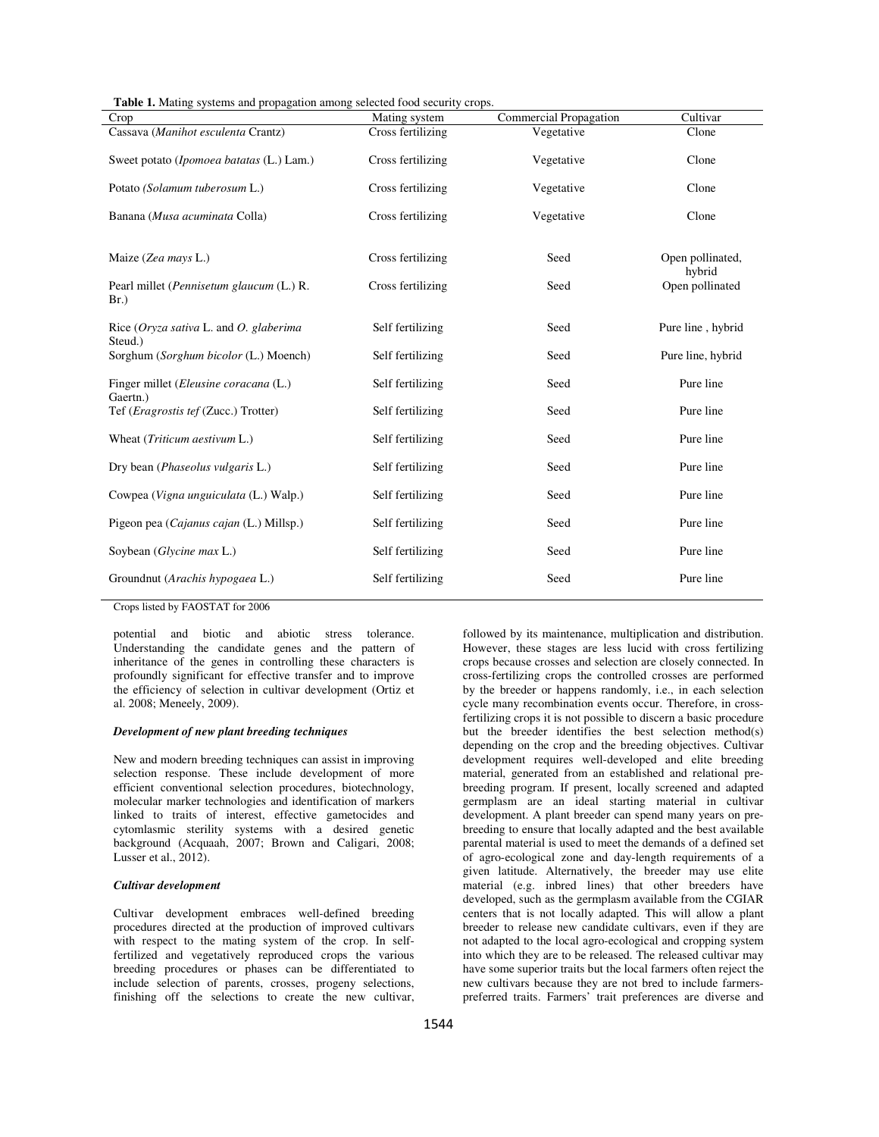| <b>Table 1.</b> Mating systems and propagation among selected food security crops. |  |
|------------------------------------------------------------------------------------|--|
|------------------------------------------------------------------------------------|--|

| Crop                                                  | Mating system     | Commercial Propagation | Cultivar                   |
|-------------------------------------------------------|-------------------|------------------------|----------------------------|
| Cassava (Manihot esculenta Crantz)                    | Cross fertilizing | Vegetative             | Clone                      |
| Sweet potato (Ipomoea batatas (L.) Lam.)              | Cross fertilizing | Vegetative             | Clone                      |
| Potato (Solamum tuberosum L.)                         | Cross fertilizing | Vegetative             | Clone                      |
| Banana (Musa acuminata Colla)                         | Cross fertilizing | Vegetative             | Clone                      |
|                                                       |                   |                        |                            |
| Maize (Zea mays L.)                                   | Cross fertilizing | Seed                   | Open pollinated,<br>hybrid |
| Pearl millet (Pennisetum glaucum (L.) R.<br>$Br.$ )   | Cross fertilizing | Seed                   | Open pollinated            |
| Rice ( $Oryza sativa L$ , and O, glaberima<br>Steud.) | Self fertilizing  | Seed                   | Pure line, hybrid          |
| Sorghum (Sorghum bicolor (L.) Moench)                 | Self fertilizing  | Seed                   | Pure line, hybrid          |
| Finger millet (Eleusine coracana (L.)<br>Gaertn.)     | Self fertilizing  | Seed                   | Pure line                  |
| Tef ( <i>Eragrostis tef</i> (Zucc.) Trotter)          | Self fertilizing  | Seed                   | Pure line                  |
| Wheat (Triticum aestivum L.)                          | Self fertilizing  | Seed                   | Pure line                  |
| Dry bean (Phaseolus vulgaris L.)                      | Self fertilizing  | Seed                   | Pure line                  |
| Cowpea (Vigna unguiculata (L.) Walp.)                 | Self fertilizing  | Seed                   | Pure line                  |
| Pigeon pea (Cajanus cajan (L.) Millsp.)               | Self fertilizing  | Seed                   | Pure line                  |
| Soybean (Glycine max L.)                              | Self fertilizing  | Seed                   | Pure line                  |
| Groundnut (Arachis hypogaea L.)                       | Self fertilizing  | Seed                   | Pure line                  |
|                                                       |                   |                        |                            |

Crops listed by FAOSTAT for 2006

potential and biotic and abiotic stress tolerance. Understanding the candidate genes and the pattern of inheritance of the genes in controlling these characters is profoundly significant for effective transfer and to improve the efficiency of selection in cultivar development (Ortiz et al. 2008; Meneely, 2009).

### *Development of new plant breeding techniques*

New and modern breeding techniques can assist in improving selection response. These include development of more efficient conventional selection procedures, biotechnology, molecular marker technologies and identification of markers linked to traits of interest, effective gametocides and cytomlasmic sterility systems with a desired genetic background (Acquaah, 2007; Brown and Caligari, 2008; Lusser et al., 2012).

### *Cultivar development*

Cultivar development embraces well-defined breeding procedures directed at the production of improved cultivars with respect to the mating system of the crop. In selffertilized and vegetatively reproduced crops the various breeding procedures or phases can be differentiated to include selection of parents, crosses, progeny selections, finishing off the selections to create the new cultivar, However, these stages are less lucid with cross fertilizing crops because crosses and selection are closely connected. In cross-fertilizing crops the controlled crosses are performed by the breeder or happens randomly, i.e., in each selection cycle many recombination events occur. Therefore, in crossfertilizing crops it is not possible to discern a basic procedure but the breeder identifies the best selection method(s) depending on the crop and the breeding objectives. Cultivar development requires well-developed and elite breeding material, generated from an established and relational prebreeding program. If present, locally screened and adapted germplasm are an ideal starting material in cultivar development. A plant breeder can spend many years on prebreeding to ensure that locally adapted and the best available parental material is used to meet the demands of a defined set of agro-ecological zone and day-length requirements of a given latitude. Alternatively, the breeder may use elite material (e.g. inbred lines) that other breeders have developed, such as the germplasm available from the CGIAR centers that is not locally adapted. This will allow a plant breeder to release new candidate cultivars, even if they are not adapted to the local agro-ecological and cropping system into which they are to be released. The released cultivar may have some superior traits but the local farmers often reject the new cultivars because they are not bred to include farmerspreferred traits. Farmers' trait preferences are diverse and

followed by its maintenance, multiplication and distribution.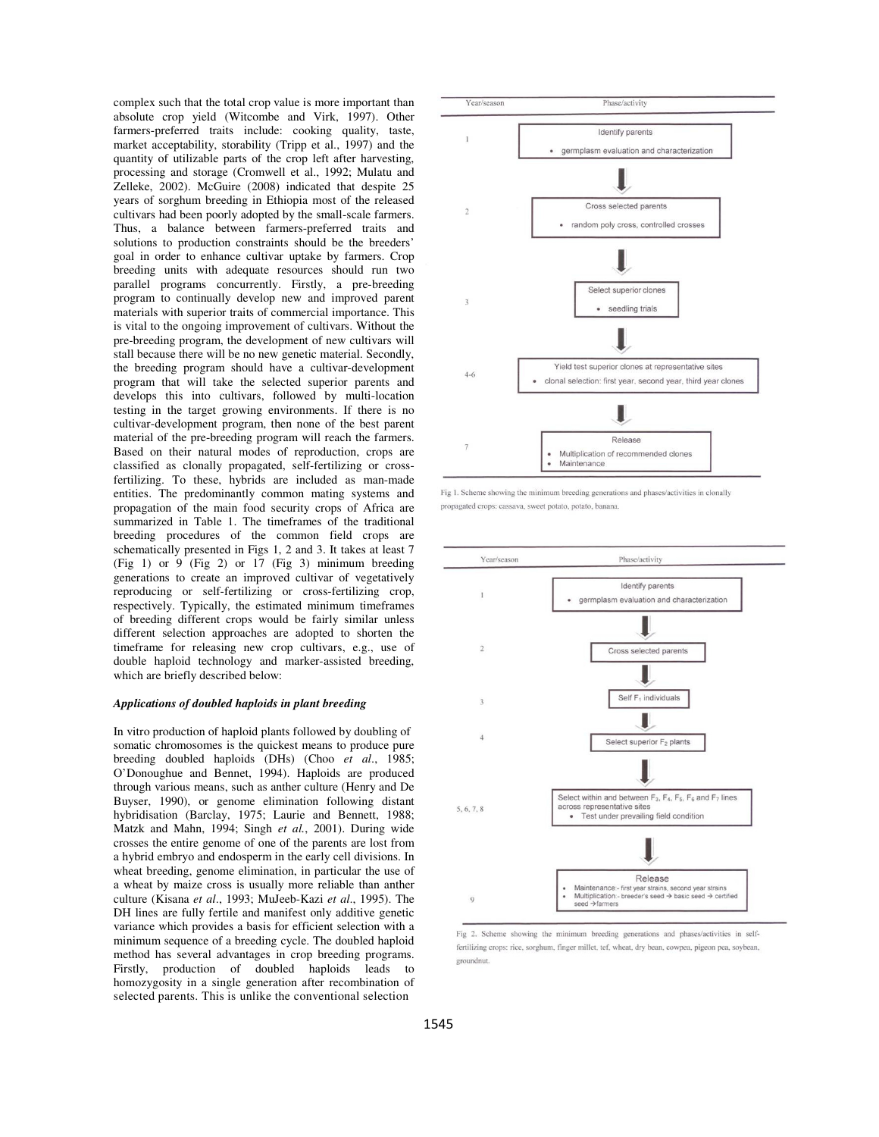complex such that the total crop value is more important than absolute crop yield (Witcombe and Virk, 1997). Other farmers-preferred traits include: cooking quality, taste, market acceptability, storability (Tripp et al., 1997) and the quantity of utilizable parts of the crop left after harvesting, processing and storage (Cromwell et al., 1992; Mulatu and Zelleke, 2002). McGuire (2008) indicated that despite 25 years of sorghum breeding in Ethiopia most of the released cultivars had been poorly adopted by the small-scale farmers. Thus, a balance between farmers-preferred traits and solutions to production constraints should be the breeders' goal in order to enhance cultivar uptake by farmers. Crop breeding units with adequate resources should run two parallel programs concurrently. Firstly, a pre-breeding program to continually develop new and improved parent materials with superior traits of commercial importance. This is vital to the ongoing improvement of cultivars. Without the pre-breeding program, the development of new cultivars will stall because there will be no new genetic material. Secondly, the breeding program should have a cultivar-development program that will take the selected superior parents and develops this into cultivars, followed by multi-location testing in the target growing environments. If there is no cultivar-development program, then none of the best parent material of the pre-breeding program will reach the farmers. Based on their natural modes of reproduction, crops are classified as clonally propagated, self-fertilizing or crossfertilizing. To these, hybrids are included as man-made entities. The predominantly common mating systems and propagation of the main food security crops of Africa are summarized in Table 1. The timeframes of the traditional breeding procedures of the common field crops are schematically presented in Figs 1, 2 and 3. It takes at least 7 (Fig 1) or 9 (Fig 2) or 17 (Fig 3) minimum breeding generations to create an improved cultivar of vegetatively reproducing or self-fertilizing or cross-fertilizing crop, respectively. Typically, the estimated minimum timeframes of breeding different crops would be fairly similar unless different selection approaches are adopted to shorten the timeframe for releasing new crop cultivars, e.g., use of double haploid technology and marker-assisted breeding, which are briefly described below:

#### *Applications of doubled haploids in plant breeding*

In vitro production of haploid plants followed by doubling of somatic chromosomes is the quickest means to produce pure breeding doubled haploids (DHs) (Choo *et al*., 1985; O'Donoughue and Bennet, 1994). Haploids are produced through various means, such as anther culture (Henry and De Buyser, 1990), or genome elimination following distant hybridisation (Barclay, 1975; Laurie and Bennett, 1988; Matzk and Mahn, 1994; Singh *et al.*, 2001). During wide crosses the entire genome of one of the parents are lost from a hybrid embryo and endosperm in the early cell divisions. In wheat breeding, genome elimination, in particular the use of a wheat by maize cross is usually more reliable than anther culture (Kisana *et al*., 1993; MuJeeb-Kazi *et al*., 1995). The DH lines are fully fertile and manifest only additive genetic variance which provides a basis for efficient selection with a minimum sequence of a breeding cycle. The doubled haploid method has several advantages in crop breeding programs. Firstly, production of doubled haploids leads to homozygosity in a single generation after recombination of selected parents. This is unlike the conventional selection



Fig 1. Scheme showing the minimum breeding generations and phases/activities in clonally propagated crops: cassava, sweet potato, potato, banana



Fig 2. Scheme showing the minimum breeding generations and phases/activities in selffertilizing crops: rice, sorghum, finger millet, tef, wheat, dry bean, cowpea, pigeon pea, soybean, groundnut.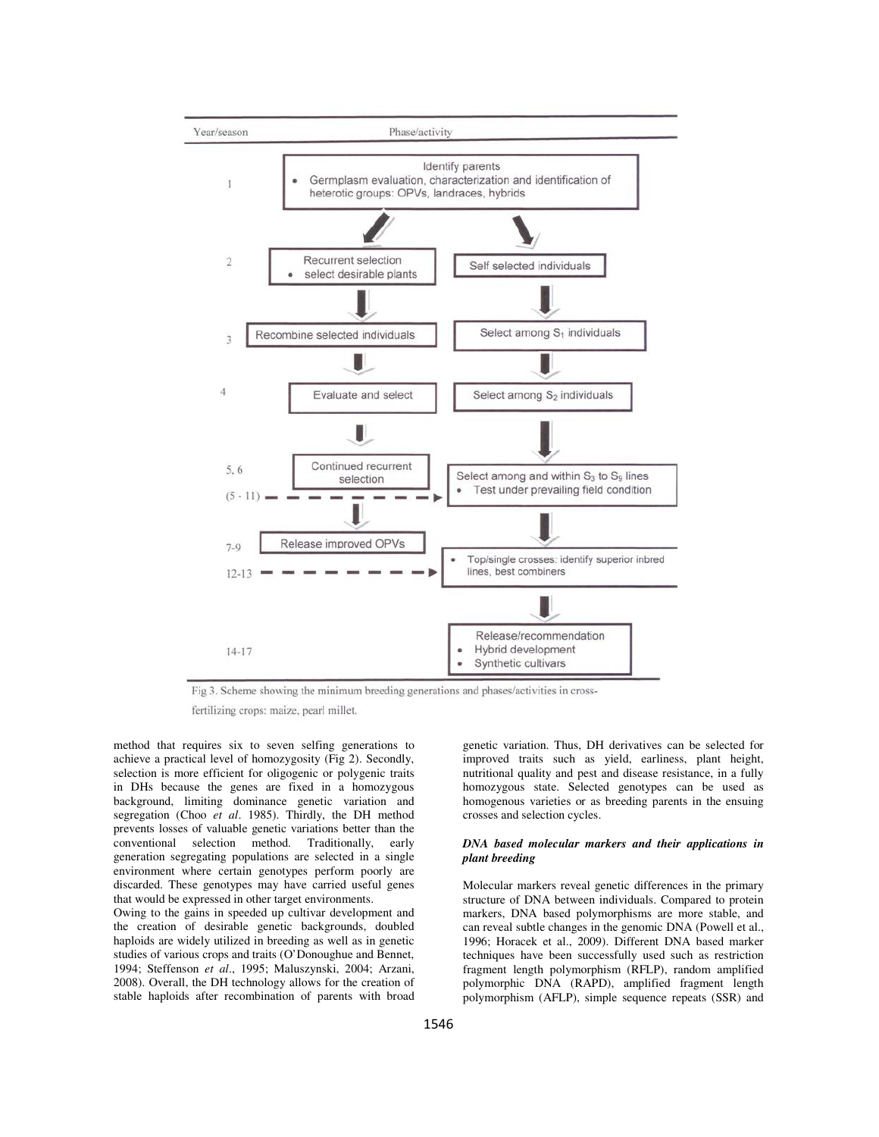

Fig 3. Scheme showing the minimum breeding generations and phases/activities in cross-

fertilizing crops: maize, pearl millet.

method that requires six to seven selfing generations to achieve a practical level of homozygosity (Fig 2). Secondly, selection is more efficient for oligogenic or polygenic traits in DHs because the genes are fixed in a homozygous background, limiting dominance genetic variation and segregation (Choo *et al*. 1985). Thirdly, the DH method prevents losses of valuable genetic variations better than the conventional selection method. Traditionally, early generation segregating populations are selected in a single environment where certain genotypes perform poorly are discarded. These genotypes may have carried useful genes that would be expressed in other target environments.

Owing to the gains in speeded up cultivar development and the creation of desirable genetic backgrounds, doubled haploids are widely utilized in breeding as well as in genetic studies of various crops and traits (O'Donoughue and Bennet, 1994; Steffenson *et al*., 1995; Maluszynski, 2004; Arzani, 2008). Overall, the DH technology allows for the creation of stable haploids after recombination of parents with broad genetic variation. Thus, DH derivatives can be selected for improved traits such as yield, earliness, plant height, nutritional quality and pest and disease resistance, in a fully homozygous state. Selected genotypes can be used as homogenous varieties or as breeding parents in the ensuing crosses and selection cycles.

### *DNA based molecular markers and their applications in plant breeding*

Molecular markers reveal genetic differences in the primary structure of DNA between individuals. Compared to protein markers, DNA based polymorphisms are more stable, and can reveal subtle changes in the genomic DNA (Powell et al., 1996; Horacek et al., 2009). Different DNA based marker techniques have been successfully used such as restriction fragment length polymorphism (RFLP), random amplified polymorphic DNA (RAPD), amplified fragment length polymorphism (AFLP), simple sequence repeats (SSR) and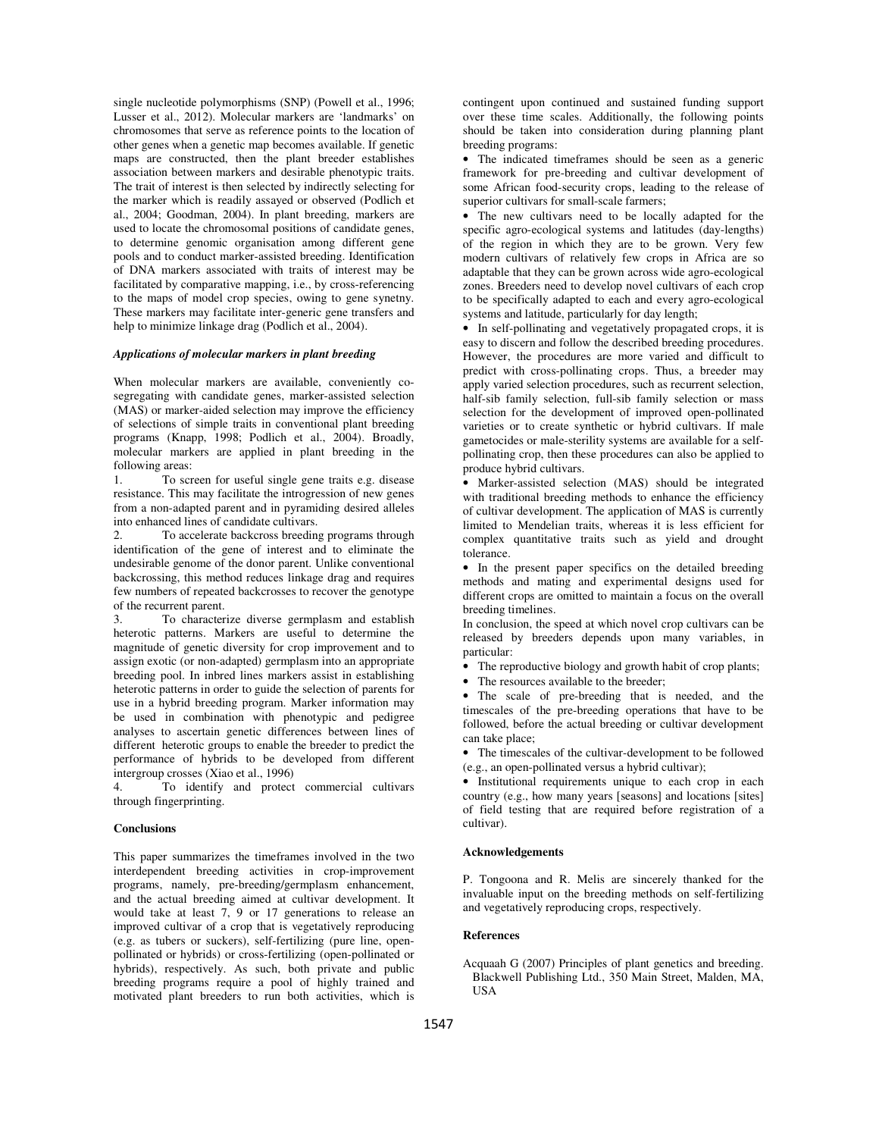single nucleotide polymorphisms (SNP) (Powell et al., 1996; Lusser et al., 2012). Molecular markers are 'landmarks' on chromosomes that serve as reference points to the location of other genes when a genetic map becomes available. If genetic maps are constructed, then the plant breeder establishes association between markers and desirable phenotypic traits. The trait of interest is then selected by indirectly selecting for the marker which is readily assayed or observed (Podlich et al., 2004; Goodman, 2004). In plant breeding, markers are used to locate the chromosomal positions of candidate genes, to determine genomic organisation among different gene pools and to conduct marker-assisted breeding. Identification of DNA markers associated with traits of interest may be facilitated by comparative mapping, i.e., by cross-referencing to the maps of model crop species, owing to gene synetny. These markers may facilitate inter-generic gene transfers and help to minimize linkage drag (Podlich et al., 2004).

#### *Applications of molecular markers in plant breeding*

When molecular markers are available, conveniently cosegregating with candidate genes, marker-assisted selection (MAS) or marker-aided selection may improve the efficiency of selections of simple traits in conventional plant breeding programs (Knapp, 1998; Podlich et al., 2004). Broadly, molecular markers are applied in plant breeding in the following areas:

1. To screen for useful single gene traits e.g. disease resistance. This may facilitate the introgression of new genes from a non-adapted parent and in pyramiding desired alleles into enhanced lines of candidate cultivars.

2. To accelerate backcross breeding programs through identification of the gene of interest and to eliminate the undesirable genome of the donor parent. Unlike conventional backcrossing, this method reduces linkage drag and requires few numbers of repeated backcrosses to recover the genotype of the recurrent parent.

3. To characterize diverse germplasm and establish heterotic patterns. Markers are useful to determine the magnitude of genetic diversity for crop improvement and to assign exotic (or non-adapted) germplasm into an appropriate breeding pool. In inbred lines markers assist in establishing heterotic patterns in order to guide the selection of parents for use in a hybrid breeding program. Marker information may be used in combination with phenotypic and pedigree analyses to ascertain genetic differences between lines of different heterotic groups to enable the breeder to predict the performance of hybrids to be developed from different intergroup crosses (Xiao et al., 1996)

To identify and protect commercial cultivars through fingerprinting.

#### **Conclusions**

This paper summarizes the timeframes involved in the two interdependent breeding activities in crop-improvement programs, namely, pre-breeding/germplasm enhancement, and the actual breeding aimed at cultivar development. It would take at least 7, 9 or 17 generations to release an improved cultivar of a crop that is vegetatively reproducing (e.g. as tubers or suckers), self-fertilizing (pure line, openpollinated or hybrids) or cross-fertilizing (open-pollinated or hybrids), respectively. As such, both private and public breeding programs require a pool of highly trained and motivated plant breeders to run both activities, which is

contingent upon continued and sustained funding support over these time scales. Additionally, the following points should be taken into consideration during planning plant breeding programs:

• The indicated timeframes should be seen as a generic framework for pre-breeding and cultivar development of some African food-security crops, leading to the release of superior cultivars for small-scale farmers;

• The new cultivars need to be locally adapted for the specific agro-ecological systems and latitudes (day-lengths) of the region in which they are to be grown. Very few modern cultivars of relatively few crops in Africa are so adaptable that they can be grown across wide agro-ecological zones. Breeders need to develop novel cultivars of each crop to be specifically adapted to each and every agro-ecological systems and latitude, particularly for day length;

• In self-pollinating and vegetatively propagated crops, it is easy to discern and follow the described breeding procedures. However, the procedures are more varied and difficult to predict with cross-pollinating crops. Thus, a breeder may apply varied selection procedures, such as recurrent selection, half-sib family selection, full-sib family selection or mass selection for the development of improved open-pollinated varieties or to create synthetic or hybrid cultivars. If male gametocides or male-sterility systems are available for a selfpollinating crop, then these procedures can also be applied to produce hybrid cultivars.

• Marker-assisted selection (MAS) should be integrated with traditional breeding methods to enhance the efficiency of cultivar development. The application of MAS is currently limited to Mendelian traits, whereas it is less efficient for complex quantitative traits such as yield and drought tolerance.

• In the present paper specifics on the detailed breeding methods and mating and experimental designs used for different crops are omitted to maintain a focus on the overall breeding timelines.

In conclusion, the speed at which novel crop cultivars can be released by breeders depends upon many variables, in particular:

The reproductive biology and growth habit of crop plants;

• The resources available to the breeder;

• The scale of pre-breeding that is needed, and the timescales of the pre-breeding operations that have to be followed, before the actual breeding or cultivar development can take place;

• The timescales of the cultivar-development to be followed (e.g., an open-pollinated versus a hybrid cultivar);

• Institutional requirements unique to each crop in each country (e.g., how many years [seasons] and locations [sites] of field testing that are required before registration of a cultivar).

#### **Acknowledgements**

P. Tongoona and R. Melis are sincerely thanked for the invaluable input on the breeding methods on self-fertilizing and vegetatively reproducing crops, respectively.

### **References**

Acquaah G (2007) Principles of plant genetics and breeding. Blackwell Publishing Ltd., 350 Main Street, Malden, MA, USA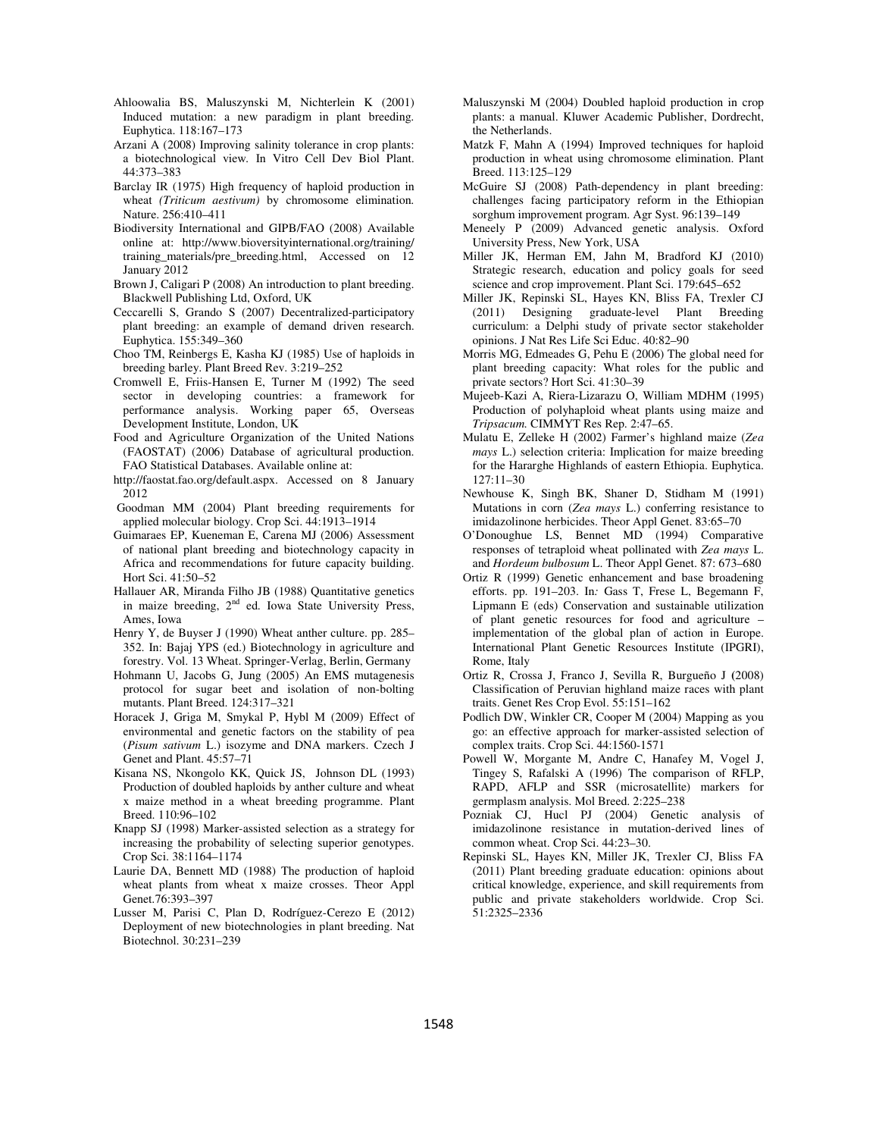- Ahloowalia BS, Maluszynski M, Nichterlein K (2001) Induced mutation: a new paradigm in plant breeding. Euphytica. 118:167–173
- Arzani A (2008) Improving salinity tolerance in crop plants: a biotechnological view*.* In Vitro Cell Dev Biol Plant. 44:373–383
- Barclay IR (1975) High frequency of haploid production in wheat *(Triticum aestivum)* by chromosome elimination. Nature. 256:410–411
- Biodiversity International and GIPB/FAO (2008) Available online at: http://www.bioversityinternational.org/training/ training\_materials/pre\_breeding.html, Accessed on 12 January 2012
- Brown J, Caligari P (2008) An introduction to plant breeding. Blackwell Publishing Ltd, Oxford, UK
- Ceccarelli S, Grando S (2007) Decentralized-participatory plant breeding: an example of demand driven research. Euphytica. 155:349–360
- Choo TM, Reinbergs E, Kasha KJ (1985) Use of haploids in breeding barley. Plant Breed Rev. 3:219–252
- Cromwell E, Friis-Hansen E, Turner M (1992) The seed sector in developing countries: a framework for performance analysis. Working paper 65, Overseas Development Institute, London, UK
- Food and Agriculture Organization of the United Nations (FAOSTAT) (2006) Database of agricultural production. FAO Statistical Databases. Available online at:
- http://faostat.fao.org/default.aspx. Accessed on 8 January 2012

 Goodman MM (2004) Plant breeding requirements for applied molecular biology. Crop Sci. 44:1913–1914

- Guimaraes EP, Kueneman E, Carena MJ (2006) Assessment of national plant breeding and biotechnology capacity in Africa and recommendations for future capacity building. Hort Sci. 41:50–52
- Hallauer AR, Miranda Filho JB (1988) Quantitative genetics in maize breeding, 2<sup>nd</sup> ed. Iowa State University Press, Ames, Iowa
- Henry Y, de Buyser J (1990) Wheat anther culture. pp. 285– 352. In: Bajaj YPS (ed.) Biotechnology in agriculture and forestry. Vol. 13 Wheat. Springer-Verlag, Berlin, Germany
- Hohmann U, Jacobs G, Jung (2005) An EMS mutagenesis protocol for sugar beet and isolation of non-bolting mutants. Plant Breed. 124:317–321
- Horacek J, Griga M, Smykal P, Hybl M (2009) Effect of environmental and genetic factors on the stability of pea (*Pisum sativum* L.) isozyme and DNA markers. Czech J Genet and Plant. 45:57–71
- Kisana NS, Nkongolo KK, Quick JS, Johnson DL (1993) Production of doubled haploids by anther culture and wheat x maize method in a wheat breeding programme. Plant Breed. 110:96–102
- Knapp SJ (1998) Marker-assisted selection as a strategy for increasing the probability of selecting superior genotypes. Crop Sci. 38:1164–1174
- Laurie DA, Bennett MD (1988) The production of haploid wheat plants from wheat x maize crosses. Theor Appl Genet.76:393–397
- Lusser M, Parisi C, Plan D, Rodríguez-Cerezo E (2012) Deployment of new biotechnologies in plant breeding. Nat Biotechnol. 30:231–239
- Maluszynski M (2004) Doubled haploid production in crop plants: a manual. Kluwer Academic Publisher, Dordrecht, the Netherlands.
- Matzk F, Mahn A (1994) Improved techniques for haploid production in wheat using chromosome elimination. Plant Breed. 113:125–129
- McGuire SJ (2008) Path-dependency in plant breeding: challenges facing participatory reform in the Ethiopian sorghum improvement program. Agr Syst. 96:139–149
- Meneely P (2009) Advanced genetic analysis. Oxford University Press, New York, USA
- Miller JK, Herman EM, Jahn M, Bradford KJ (2010) Strategic research, education and policy goals for seed science and crop improvement. Plant Sci. 179:645–652
- Miller JK, Repinski SL, Hayes KN, Bliss FA, Trexler CJ (2011) Designing graduate-level Plant Breeding curriculum: a Delphi study of private sector stakeholder opinions. J Nat Res Life Sci Educ. 40:82–90
- Morris MG, Edmeades G, Pehu E (2006) The global need for plant breeding capacity: What roles for the public and private sectors? Hort Sci. 41:30–39
- Mujeeb-Kazi A, Riera-Lizarazu O, William MDHM (1995) Production of polyhaploid wheat plants using maize and *Tripsacum.* CIMMYT Res Rep. 2:47–65.
- Mulatu E, Zelleke H (2002) Farmer's highland maize (*Zea mays* L.) selection criteria: Implication for maize breeding for the Hararghe Highlands of eastern Ethiopia. Euphytica. 127:11–30
- Newhouse K, Singh BK, Shaner D, Stidham M (1991) Mutations in corn (*Zea mays* L.) conferring resistance to imidazolinone herbicides. Theor Appl Genet. 83:65–70
- O'Donoughue LS, Bennet MD (1994) Comparative responses of tetraploid wheat pollinated with *Zea mays* L. and *Hordeum bulbosum* L. Theor Appl Genet. 87: 673–680
- Ortiz R (1999) Genetic enhancement and base broadening efforts. pp. 191–203. In*:* Gass T, Frese L, Begemann F, Lipmann E (eds) Conservation and sustainable utilization of plant genetic resources for food and agriculture – implementation of the global plan of action in Europe. International Plant Genetic Resources Institute (IPGRI), Rome, Italy
- Ortiz R, Crossa J, Franco J, Sevilla R, Burgueño J **(**2008) Classification of Peruvian highland maize races with plant traits. Genet Res Crop Evol. 55:151–162
- Podlich DW, Winkler CR, Cooper M (2004) Mapping as you go: an effective approach for marker-assisted selection of complex traits. Crop Sci. 44:1560-1571
- Powell W, Morgante M, Andre C, Hanafey M, Vogel J, Tingey S, Rafalski A (1996) The comparison of RFLP, RAPD, AFLP and SSR (microsatellite) markers for germplasm analysis. Mol Breed. 2:225–238
- Pozniak CJ, Hucl PJ (2004) Genetic analysis of imidazolinone resistance in mutation-derived lines of common wheat. Crop Sci. 44:23–30.
- Repinski SL, Hayes KN, Miller JK, Trexler CJ, Bliss FA (2011) Plant breeding graduate education: opinions about critical knowledge, experience, and skill requirements from public and private stakeholders worldwide. Crop Sci. 51:2325–2336